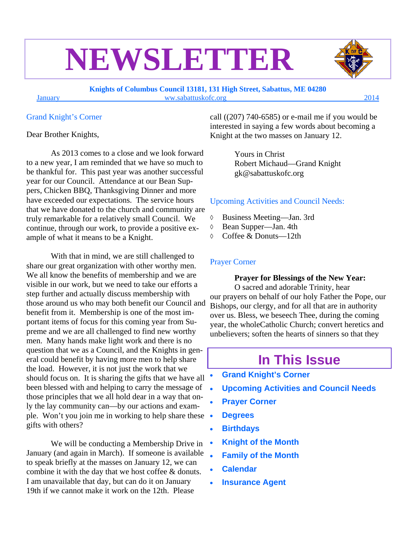# **NEWSLETTER**

**Knights of Columbus Council 13181, 131 High Street, Sabattus, ME 04280**  January ww.sabattuskofc.org 2014

Grand Knight's Corner

Dear Brother Knights,

As 2013 comes to a close and we look forward to a new year, I am reminded that we have so much to be thankful for. This past year was another successful year for our Council. Attendance at our Bean Suppers, Chicken BBQ, Thanksgiving Dinner and more have exceeded our expectations. The service hours that we have donated to the church and community are truly remarkable for a relatively small Council. We continue, through our work, to provide a positive example of what it means to be a Knight.

With that in mind, we are still challenged to share our great organization with other worthy men. We all know the benefits of membership and we are visible in our work, but we need to take our efforts a step further and actually discuss membership with those around us who may both benefit our Council and benefit from it. Membership is one of the most important items of focus for this coming year from Supreme and we are all challenged to find new worthy men. Many hands make light work and there is no question that we as a Council, and the Knights in general could benefit by having more men to help share the load. However, it is not just the work that we should focus on. It is sharing the gifts that we have all been blessed with and helping to carry the message of  $\bullet$ those principles that we all hold dear in a way that only the lay community can—by our actions and example. Won't you join me in working to help share these gifts with others?

We will be conducting a Membership Drive in January (and again in March). If someone is available to speak briefly at the masses on January 12, we can combine it with the day that we host coffee & donuts. I am unavailable that day, but can do it on January 19th if we cannot make it work on the 12th. Please

call  $(207)$  740-6585) or e-mail me if you would be interested in saying a few words about becoming a Knight at the two masses on January 12.

> Yours in Christ Robert Michaud—Grand Knight gk@sabattuskofc.org

#### Upcoming Activities and Council Needs:

- Business Meeting—Jan. 3rd
- Bean Supper—Jan. 4th
- Coffee & Donuts—12th

#### Prayer Corner

**Prayer for Blessings of the New Year:**  O sacred and adorable Trinity, hear our prayers on behalf of our holy Father the Pope, our Bishops, our clergy, and for all that are in authority over us. Bless, we beseech Thee, during the coming year, the wholeCatholic Church; convert heretics and unbelievers; soften the hearts of sinners so that they

## **In This Issue**

- **Grand Knight's Corner**
- **Upcoming Activities and Council Needs**
- **Prayer Corner**
- **Degrees**
- **Birthdays**
- **Knight of the Month**
- **Family of the Month**
- **Calendar**
- **Insurance Agent**

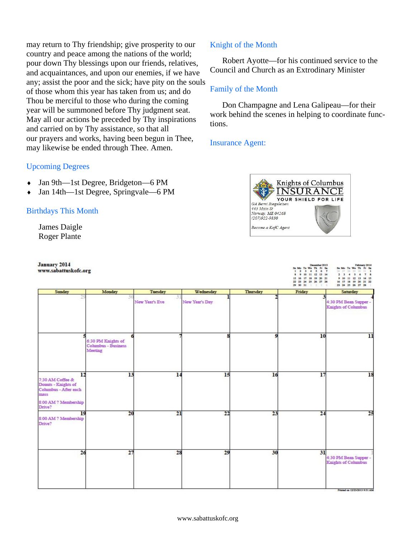may return to Thy friendship; give prosperity to our country and peace among the nations of the world; pour down Thy blessings upon our friends, relatives, and acquaintances, and upon our enemies, if we have any; assist the poor and the sick; have pity on the souls of those whom this year has taken from us; and do Thou be merciful to those who during the coming year will be summoned before Thy judgment seat. May all our actions be preceded by Thy inspirations and carried on by Thy assistance, so that all our prayers and works, having been begun in Thee, may likewise be ended through Thee. Amen.

#### Upcoming Degrees

- Jan 9th—1st Degree, Bridgeton—6 PM
- Jan 14th—1st Degree, Springvale—6 PM

#### Birthdays This Month

James Daigle Roger Plante

January 2014 www.sabattuskofc.org

#### Knight of the Month

Robert Ayotte—for his continued service to the Council and Church as an Extrodinary Minister

#### Family of the Month

Don Champagne and Lena Galipeau—for their work behind the scenes in helping to coordinate functions.

#### Insurance Agent:



December 2013<br>
3a Mo Ta We Th Fr Sa Sa Mo Ta We Th Fr Sa<br>
1 2 3 4 5 6 7 34 33 34 34 14 14 25 34 34 14 14 25 34 35 34 35 14 15

| Sunday                                                                         | Monday                                                      | Tuesday        | Wednesday      | Thursday | 29 30 31<br>Friday      | 23 24 25 26 27 28<br>Saturday                       |
|--------------------------------------------------------------------------------|-------------------------------------------------------------|----------------|----------------|----------|-------------------------|-----------------------------------------------------|
|                                                                                | 31                                                          | New Year's Eve | New Year's Day |          |                         | 4:30 PM Bean Supper -<br><b>Knights of Columbus</b> |
|                                                                                | 6:30 PM Knights of<br><b>Columbus - Business</b><br>Meeting |                | я              | o        | 10                      | $\overline{1}$                                      |
| 12<br>7:30 AM Coffee &<br>Donuts - Knights of<br>Columbus - After each<br>mass | 13                                                          | 14             | 15             | 16       | 17                      | 18                                                  |
| 8:00 AM ? Membership<br>Drive?<br>19<br>8:00 AM ? Membership<br>Drive?         | 20                                                          | 21             | 22             | 23       | $\overline{\mathbf{z}}$ | 25                                                  |
| 26                                                                             | 27                                                          | 28             | 29             | 30       | 31                      | 4:30 PM Bean Supper<br><b>Knights of Columbus</b>   |
|                                                                                |                                                             |                |                |          |                         |                                                     |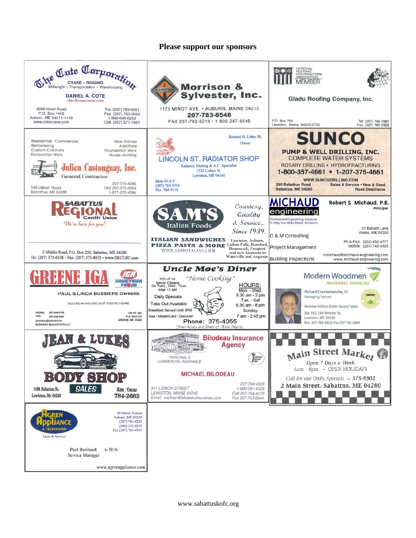#### **Please support our sponsors**



www.sabattuskofc.org